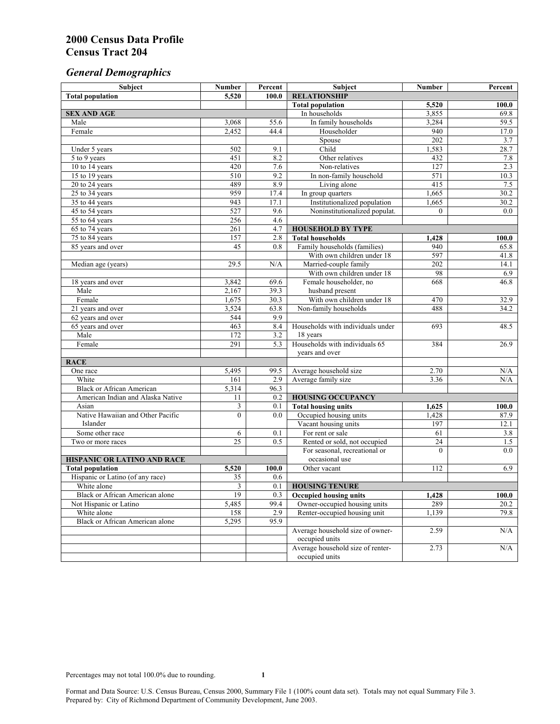# *General Demographics*

| Subject                           | <b>Number</b>   | Percent    | Subject                                                 | <b>Number</b>   | Percent       |
|-----------------------------------|-----------------|------------|---------------------------------------------------------|-----------------|---------------|
| <b>Total population</b>           | 5,520           | 100.0      | <b>RELATIONSHIP</b>                                     |                 |               |
|                                   |                 |            | <b>Total population</b>                                 | 5,520           | 100.0         |
| <b>SEX AND AGE</b>                |                 |            | In households                                           | 3,855           | 69.8          |
| Male                              | 3,068           | 55.6       | In family households                                    | 3,284           | 59.5          |
| Female                            | 2,452           | 44.4       | Householder                                             | 940             | 17.0          |
|                                   |                 |            | Spouse                                                  | 202             | 3.7           |
| Under 5 years                     | 502             | 9.1        | Child                                                   | 1,583           | 28.7          |
| 5 to 9 years                      | 451             | 8.2        | Other relatives                                         | 432             | 7.8           |
| 10 to 14 years                    | 420             | 7.6        | Non-relatives                                           | 127             | 2.3           |
| 15 to 19 years                    | 510             | 9.2        | In non-family household                                 | 571             | 10.3          |
| 20 to 24 years                    | 489             | 8.9        | Living alone                                            | 415             | 7.5           |
| $25 \text{ to } 34$ years         | 959             | 17.4       | In group quarters                                       | 1,665           | 30.2          |
| 35 to 44 years                    | 943             | 17.1       | Institutionalized population                            | 1,665           | 30.2          |
| 45 to 54 years                    | 527             | 9.6        | Noninstitutionalized populat.                           | $\overline{0}$  | 0.0           |
| 55 to 64 years                    | 256             | 4.6        |                                                         |                 |               |
| 65 to 74 years                    | 261             | 4.7        | <b>HOUSEHOLD BY TYPE</b>                                |                 |               |
| 75 to 84 years                    | 157<br>45       | 2.8<br>0.8 | <b>Total households</b><br>Family households (families) | 1,428<br>940    | 100.0<br>65.8 |
| 85 years and over                 |                 |            | With own children under 18                              | 597             |               |
|                                   | 29.5            | N/A        | Married-couple family                                   | 202             | 41.8<br>14.1  |
| Median age (years)                |                 |            | With own children under 18                              | 98              | 6.9           |
| 18 years and over                 | 3,842           | 69.6       | Female householder, no                                  | 668             | 46.8          |
| Male                              | 2,167           | 39.3       | husband present                                         |                 |               |
| Female                            | 1,675           | 30.3       | With own children under 18                              | 470             | 32.9          |
| 21 years and over                 | 3,524           | 63.8       | Non-family households                                   | 488             | 34.2          |
| 62 years and over                 | 544             | 9.9        |                                                         |                 |               |
| 65 years and over                 | 463             | 8.4        | Households with individuals under                       | 693             | 48.5          |
| Male                              | 172             | 3.2        | 18 years                                                |                 |               |
| Female                            | 291             | 5.3        | Households with individuals 65                          | 384             | 26.9          |
|                                   |                 |            | years and over                                          |                 |               |
| <b>RACE</b>                       |                 |            |                                                         |                 |               |
| One race                          | 5,495           | 99.5       | Average household size                                  | 2.70            | $\rm N/A$     |
| White                             | 161             | 2.9        | Average family size                                     | 3.36            | N/A           |
| <b>Black or African American</b>  | 5,314           | 96.3       |                                                         |                 |               |
| American Indian and Alaska Native | 11              | 0.2        | <b>HOUSING OCCUPANCY</b>                                |                 |               |
| Asian                             | 3               | 0.1        | <b>Total housing units</b>                              | 1,625           | 100.0         |
| Native Hawaiian and Other Pacific | $\mathbf{0}$    | 0.0        | Occupied housing units                                  | 1,428           | 87.9          |
| Islander                          |                 |            | Vacant housing units                                    | 197             | 12.1          |
| Some other race                   | 6               | 0.1        | For rent or sale                                        | 61              | 3.8           |
| Two or more races                 | $\overline{25}$ | 0.5        | Rented or sold, not occupied                            | $\overline{24}$ | 1.5           |
|                                   |                 |            | For seasonal, recreational or                           | $\Omega$        | 0.0           |
| HISPANIC OR LATINO AND RACE       |                 |            | occasional use                                          |                 |               |
| <b>Total population</b>           | 5,520           | 100.0      | Other vacant                                            | 112             | 6.9           |
| Hispanic or Latino (of any race)  | 35              | 0.6        |                                                         |                 |               |
| White alone                       | 3               | 0.1        | <b>HOUSING TENURE</b>                                   |                 |               |
| Black or African American alone   | 19              | 0.3        | <b>Occupied housing units</b>                           | 1,428           | 100.0         |
| Not Hispanic or Latino            | 5,485           | 99.4       | Owner-occupied housing units                            | 289             | 20.2          |
| White alone                       | 158             | 2.9        | Renter-occupied housing unit                            | 1,139           | 79.8          |
| Black or African American alone   | 5,295           | 95.9       |                                                         |                 |               |
|                                   |                 |            | Average household size of owner-                        | 2.59            | N/A           |
|                                   |                 |            | occupied units                                          |                 |               |
|                                   |                 |            | Average household size of renter-                       | 2.73            | N/A           |
|                                   |                 |            | occupied units                                          |                 |               |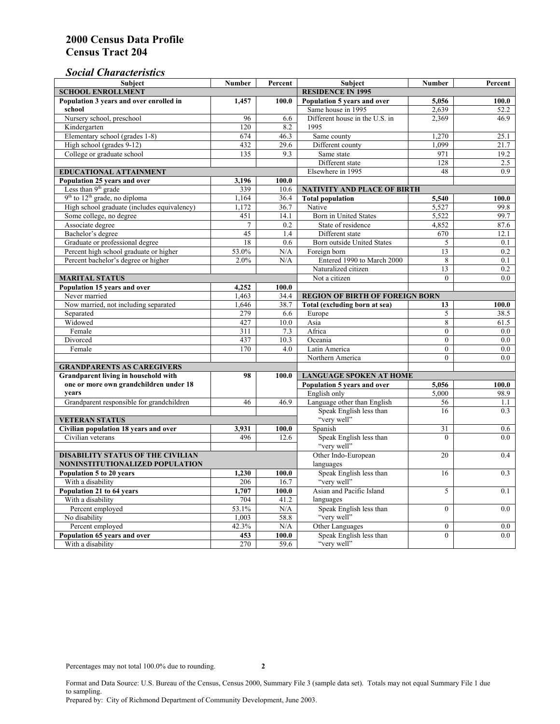# *Social Characteristics*

| <b>Number</b>                                                               | Percent                                                                                                                                                                                                                                                                            | <b>Subject</b>                                                                                                                                                                                                                                                                 | <b>Number</b>                                                                                                                                                                                                                                                                                                                                                                                                                                                                                                                                                                                                                                                                                                                                                                                                                                                                                    | Percent                                                                                                                                                                                                                                                                                                                                                                                                                            |  |  |
|-----------------------------------------------------------------------------|------------------------------------------------------------------------------------------------------------------------------------------------------------------------------------------------------------------------------------------------------------------------------------|--------------------------------------------------------------------------------------------------------------------------------------------------------------------------------------------------------------------------------------------------------------------------------|--------------------------------------------------------------------------------------------------------------------------------------------------------------------------------------------------------------------------------------------------------------------------------------------------------------------------------------------------------------------------------------------------------------------------------------------------------------------------------------------------------------------------------------------------------------------------------------------------------------------------------------------------------------------------------------------------------------------------------------------------------------------------------------------------------------------------------------------------------------------------------------------------|------------------------------------------------------------------------------------------------------------------------------------------------------------------------------------------------------------------------------------------------------------------------------------------------------------------------------------------------------------------------------------------------------------------------------------|--|--|
| <b>SCHOOL ENROLLMENT</b><br>Population 3 years and over enrolled in         |                                                                                                                                                                                                                                                                                    |                                                                                                                                                                                                                                                                                | <b>RESIDENCE IN 1995</b>                                                                                                                                                                                                                                                                                                                                                                                                                                                                                                                                                                                                                                                                                                                                                                                                                                                                         |                                                                                                                                                                                                                                                                                                                                                                                                                                    |  |  |
| 1,457                                                                       | 100.0                                                                                                                                                                                                                                                                              | Population 5 years and over                                                                                                                                                                                                                                                    | 5,056                                                                                                                                                                                                                                                                                                                                                                                                                                                                                                                                                                                                                                                                                                                                                                                                                                                                                            | 100.0                                                                                                                                                                                                                                                                                                                                                                                                                              |  |  |
|                                                                             |                                                                                                                                                                                                                                                                                    |                                                                                                                                                                                                                                                                                | 2,639                                                                                                                                                                                                                                                                                                                                                                                                                                                                                                                                                                                                                                                                                                                                                                                                                                                                                            | 52.2                                                                                                                                                                                                                                                                                                                                                                                                                               |  |  |
|                                                                             |                                                                                                                                                                                                                                                                                    |                                                                                                                                                                                                                                                                                |                                                                                                                                                                                                                                                                                                                                                                                                                                                                                                                                                                                                                                                                                                                                                                                                                                                                                                  | 46.9                                                                                                                                                                                                                                                                                                                                                                                                                               |  |  |
|                                                                             |                                                                                                                                                                                                                                                                                    |                                                                                                                                                                                                                                                                                |                                                                                                                                                                                                                                                                                                                                                                                                                                                                                                                                                                                                                                                                                                                                                                                                                                                                                                  |                                                                                                                                                                                                                                                                                                                                                                                                                                    |  |  |
|                                                                             |                                                                                                                                                                                                                                                                                    |                                                                                                                                                                                                                                                                                |                                                                                                                                                                                                                                                                                                                                                                                                                                                                                                                                                                                                                                                                                                                                                                                                                                                                                                  | 25.1                                                                                                                                                                                                                                                                                                                                                                                                                               |  |  |
|                                                                             |                                                                                                                                                                                                                                                                                    |                                                                                                                                                                                                                                                                                |                                                                                                                                                                                                                                                                                                                                                                                                                                                                                                                                                                                                                                                                                                                                                                                                                                                                                                  | 21.7                                                                                                                                                                                                                                                                                                                                                                                                                               |  |  |
|                                                                             |                                                                                                                                                                                                                                                                                    |                                                                                                                                                                                                                                                                                |                                                                                                                                                                                                                                                                                                                                                                                                                                                                                                                                                                                                                                                                                                                                                                                                                                                                                                  | 19.2                                                                                                                                                                                                                                                                                                                                                                                                                               |  |  |
|                                                                             |                                                                                                                                                                                                                                                                                    |                                                                                                                                                                                                                                                                                |                                                                                                                                                                                                                                                                                                                                                                                                                                                                                                                                                                                                                                                                                                                                                                                                                                                                                                  | 2.5                                                                                                                                                                                                                                                                                                                                                                                                                                |  |  |
| <b>EDUCATIONAL ATTAINMENT</b><br>Population 25 years and over               |                                                                                                                                                                                                                                                                                    |                                                                                                                                                                                                                                                                                |                                                                                                                                                                                                                                                                                                                                                                                                                                                                                                                                                                                                                                                                                                                                                                                                                                                                                                  | 0.9                                                                                                                                                                                                                                                                                                                                                                                                                                |  |  |
|                                                                             |                                                                                                                                                                                                                                                                                    |                                                                                                                                                                                                                                                                                |                                                                                                                                                                                                                                                                                                                                                                                                                                                                                                                                                                                                                                                                                                                                                                                                                                                                                                  |                                                                                                                                                                                                                                                                                                                                                                                                                                    |  |  |
|                                                                             |                                                                                                                                                                                                                                                                                    |                                                                                                                                                                                                                                                                                |                                                                                                                                                                                                                                                                                                                                                                                                                                                                                                                                                                                                                                                                                                                                                                                                                                                                                                  |                                                                                                                                                                                                                                                                                                                                                                                                                                    |  |  |
|                                                                             |                                                                                                                                                                                                                                                                                    |                                                                                                                                                                                                                                                                                |                                                                                                                                                                                                                                                                                                                                                                                                                                                                                                                                                                                                                                                                                                                                                                                                                                                                                                  | 100.0                                                                                                                                                                                                                                                                                                                                                                                                                              |  |  |
|                                                                             |                                                                                                                                                                                                                                                                                    |                                                                                                                                                                                                                                                                                |                                                                                                                                                                                                                                                                                                                                                                                                                                                                                                                                                                                                                                                                                                                                                                                                                                                                                                  | 99.8                                                                                                                                                                                                                                                                                                                                                                                                                               |  |  |
|                                                                             |                                                                                                                                                                                                                                                                                    |                                                                                                                                                                                                                                                                                |                                                                                                                                                                                                                                                                                                                                                                                                                                                                                                                                                                                                                                                                                                                                                                                                                                                                                                  | 99.7                                                                                                                                                                                                                                                                                                                                                                                                                               |  |  |
|                                                                             |                                                                                                                                                                                                                                                                                    |                                                                                                                                                                                                                                                                                |                                                                                                                                                                                                                                                                                                                                                                                                                                                                                                                                                                                                                                                                                                                                                                                                                                                                                                  | 87.6                                                                                                                                                                                                                                                                                                                                                                                                                               |  |  |
|                                                                             |                                                                                                                                                                                                                                                                                    |                                                                                                                                                                                                                                                                                |                                                                                                                                                                                                                                                                                                                                                                                                                                                                                                                                                                                                                                                                                                                                                                                                                                                                                                  | 12.1                                                                                                                                                                                                                                                                                                                                                                                                                               |  |  |
|                                                                             |                                                                                                                                                                                                                                                                                    |                                                                                                                                                                                                                                                                                |                                                                                                                                                                                                                                                                                                                                                                                                                                                                                                                                                                                                                                                                                                                                                                                                                                                                                                  | 0.1                                                                                                                                                                                                                                                                                                                                                                                                                                |  |  |
|                                                                             |                                                                                                                                                                                                                                                                                    |                                                                                                                                                                                                                                                                                |                                                                                                                                                                                                                                                                                                                                                                                                                                                                                                                                                                                                                                                                                                                                                                                                                                                                                                  | 0.2                                                                                                                                                                                                                                                                                                                                                                                                                                |  |  |
|                                                                             |                                                                                                                                                                                                                                                                                    |                                                                                                                                                                                                                                                                                |                                                                                                                                                                                                                                                                                                                                                                                                                                                                                                                                                                                                                                                                                                                                                                                                                                                                                                  | 0.1                                                                                                                                                                                                                                                                                                                                                                                                                                |  |  |
|                                                                             |                                                                                                                                                                                                                                                                                    |                                                                                                                                                                                                                                                                                |                                                                                                                                                                                                                                                                                                                                                                                                                                                                                                                                                                                                                                                                                                                                                                                                                                                                                                  | 0.2                                                                                                                                                                                                                                                                                                                                                                                                                                |  |  |
|                                                                             |                                                                                                                                                                                                                                                                                    |                                                                                                                                                                                                                                                                                |                                                                                                                                                                                                                                                                                                                                                                                                                                                                                                                                                                                                                                                                                                                                                                                                                                                                                                  | 0.0                                                                                                                                                                                                                                                                                                                                                                                                                                |  |  |
|                                                                             |                                                                                                                                                                                                                                                                                    |                                                                                                                                                                                                                                                                                |                                                                                                                                                                                                                                                                                                                                                                                                                                                                                                                                                                                                                                                                                                                                                                                                                                                                                                  |                                                                                                                                                                                                                                                                                                                                                                                                                                    |  |  |
|                                                                             |                                                                                                                                                                                                                                                                                    |                                                                                                                                                                                                                                                                                |                                                                                                                                                                                                                                                                                                                                                                                                                                                                                                                                                                                                                                                                                                                                                                                                                                                                                                  |                                                                                                                                                                                                                                                                                                                                                                                                                                    |  |  |
|                                                                             |                                                                                                                                                                                                                                                                                    |                                                                                                                                                                                                                                                                                |                                                                                                                                                                                                                                                                                                                                                                                                                                                                                                                                                                                                                                                                                                                                                                                                                                                                                                  | 100.0                                                                                                                                                                                                                                                                                                                                                                                                                              |  |  |
|                                                                             |                                                                                                                                                                                                                                                                                    |                                                                                                                                                                                                                                                                                |                                                                                                                                                                                                                                                                                                                                                                                                                                                                                                                                                                                                                                                                                                                                                                                                                                                                                                  | 38.5                                                                                                                                                                                                                                                                                                                                                                                                                               |  |  |
|                                                                             |                                                                                                                                                                                                                                                                                    |                                                                                                                                                                                                                                                                                |                                                                                                                                                                                                                                                                                                                                                                                                                                                                                                                                                                                                                                                                                                                                                                                                                                                                                                  | 61.5                                                                                                                                                                                                                                                                                                                                                                                                                               |  |  |
|                                                                             |                                                                                                                                                                                                                                                                                    |                                                                                                                                                                                                                                                                                |                                                                                                                                                                                                                                                                                                                                                                                                                                                                                                                                                                                                                                                                                                                                                                                                                                                                                                  | 0.0                                                                                                                                                                                                                                                                                                                                                                                                                                |  |  |
|                                                                             |                                                                                                                                                                                                                                                                                    |                                                                                                                                                                                                                                                                                |                                                                                                                                                                                                                                                                                                                                                                                                                                                                                                                                                                                                                                                                                                                                                                                                                                                                                                  | 0.0                                                                                                                                                                                                                                                                                                                                                                                                                                |  |  |
|                                                                             |                                                                                                                                                                                                                                                                                    |                                                                                                                                                                                                                                                                                |                                                                                                                                                                                                                                                                                                                                                                                                                                                                                                                                                                                                                                                                                                                                                                                                                                                                                                  | $0.0\,$                                                                                                                                                                                                                                                                                                                                                                                                                            |  |  |
|                                                                             |                                                                                                                                                                                                                                                                                    |                                                                                                                                                                                                                                                                                |                                                                                                                                                                                                                                                                                                                                                                                                                                                                                                                                                                                                                                                                                                                                                                                                                                                                                                  | 0.0                                                                                                                                                                                                                                                                                                                                                                                                                                |  |  |
|                                                                             |                                                                                                                                                                                                                                                                                    |                                                                                                                                                                                                                                                                                |                                                                                                                                                                                                                                                                                                                                                                                                                                                                                                                                                                                                                                                                                                                                                                                                                                                                                                  |                                                                                                                                                                                                                                                                                                                                                                                                                                    |  |  |
|                                                                             |                                                                                                                                                                                                                                                                                    |                                                                                                                                                                                                                                                                                |                                                                                                                                                                                                                                                                                                                                                                                                                                                                                                                                                                                                                                                                                                                                                                                                                                                                                                  |                                                                                                                                                                                                                                                                                                                                                                                                                                    |  |  |
|                                                                             |                                                                                                                                                                                                                                                                                    |                                                                                                                                                                                                                                                                                |                                                                                                                                                                                                                                                                                                                                                                                                                                                                                                                                                                                                                                                                                                                                                                                                                                                                                                  | 100.0                                                                                                                                                                                                                                                                                                                                                                                                                              |  |  |
|                                                                             |                                                                                                                                                                                                                                                                                    |                                                                                                                                                                                                                                                                                |                                                                                                                                                                                                                                                                                                                                                                                                                                                                                                                                                                                                                                                                                                                                                                                                                                                                                                  | 98.9                                                                                                                                                                                                                                                                                                                                                                                                                               |  |  |
|                                                                             |                                                                                                                                                                                                                                                                                    |                                                                                                                                                                                                                                                                                |                                                                                                                                                                                                                                                                                                                                                                                                                                                                                                                                                                                                                                                                                                                                                                                                                                                                                                  | 1.1                                                                                                                                                                                                                                                                                                                                                                                                                                |  |  |
|                                                                             |                                                                                                                                                                                                                                                                                    |                                                                                                                                                                                                                                                                                |                                                                                                                                                                                                                                                                                                                                                                                                                                                                                                                                                                                                                                                                                                                                                                                                                                                                                                  | 0.3                                                                                                                                                                                                                                                                                                                                                                                                                                |  |  |
|                                                                             |                                                                                                                                                                                                                                                                                    |                                                                                                                                                                                                                                                                                |                                                                                                                                                                                                                                                                                                                                                                                                                                                                                                                                                                                                                                                                                                                                                                                                                                                                                                  |                                                                                                                                                                                                                                                                                                                                                                                                                                    |  |  |
|                                                                             |                                                                                                                                                                                                                                                                                    |                                                                                                                                                                                                                                                                                |                                                                                                                                                                                                                                                                                                                                                                                                                                                                                                                                                                                                                                                                                                                                                                                                                                                                                                  | 0.6                                                                                                                                                                                                                                                                                                                                                                                                                                |  |  |
|                                                                             |                                                                                                                                                                                                                                                                                    |                                                                                                                                                                                                                                                                                |                                                                                                                                                                                                                                                                                                                                                                                                                                                                                                                                                                                                                                                                                                                                                                                                                                                                                                  | 0.0                                                                                                                                                                                                                                                                                                                                                                                                                                |  |  |
|                                                                             |                                                                                                                                                                                                                                                                                    |                                                                                                                                                                                                                                                                                |                                                                                                                                                                                                                                                                                                                                                                                                                                                                                                                                                                                                                                                                                                                                                                                                                                                                                                  | 0.4                                                                                                                                                                                                                                                                                                                                                                                                                                |  |  |
| <b>DISABILITY STATUS OF THE CIVILIAN</b><br>NONINSTITUTIONALIZED POPULATION |                                                                                                                                                                                                                                                                                    |                                                                                                                                                                                                                                                                                |                                                                                                                                                                                                                                                                                                                                                                                                                                                                                                                                                                                                                                                                                                                                                                                                                                                                                                  |                                                                                                                                                                                                                                                                                                                                                                                                                                    |  |  |
|                                                                             |                                                                                                                                                                                                                                                                                    |                                                                                                                                                                                                                                                                                |                                                                                                                                                                                                                                                                                                                                                                                                                                                                                                                                                                                                                                                                                                                                                                                                                                                                                                  | 0.3                                                                                                                                                                                                                                                                                                                                                                                                                                |  |  |
|                                                                             |                                                                                                                                                                                                                                                                                    |                                                                                                                                                                                                                                                                                |                                                                                                                                                                                                                                                                                                                                                                                                                                                                                                                                                                                                                                                                                                                                                                                                                                                                                                  |                                                                                                                                                                                                                                                                                                                                                                                                                                    |  |  |
|                                                                             |                                                                                                                                                                                                                                                                                    |                                                                                                                                                                                                                                                                                |                                                                                                                                                                                                                                                                                                                                                                                                                                                                                                                                                                                                                                                                                                                                                                                                                                                                                                  | 0.1                                                                                                                                                                                                                                                                                                                                                                                                                                |  |  |
|                                                                             |                                                                                                                                                                                                                                                                                    |                                                                                                                                                                                                                                                                                |                                                                                                                                                                                                                                                                                                                                                                                                                                                                                                                                                                                                                                                                                                                                                                                                                                                                                                  |                                                                                                                                                                                                                                                                                                                                                                                                                                    |  |  |
|                                                                             |                                                                                                                                                                                                                                                                                    |                                                                                                                                                                                                                                                                                |                                                                                                                                                                                                                                                                                                                                                                                                                                                                                                                                                                                                                                                                                                                                                                                                                                                                                                  | 0.0                                                                                                                                                                                                                                                                                                                                                                                                                                |  |  |
|                                                                             |                                                                                                                                                                                                                                                                                    |                                                                                                                                                                                                                                                                                |                                                                                                                                                                                                                                                                                                                                                                                                                                                                                                                                                                                                                                                                                                                                                                                                                                                                                                  |                                                                                                                                                                                                                                                                                                                                                                                                                                    |  |  |
|                                                                             |                                                                                                                                                                                                                                                                                    |                                                                                                                                                                                                                                                                                |                                                                                                                                                                                                                                                                                                                                                                                                                                                                                                                                                                                                                                                                                                                                                                                                                                                                                                  | $0.0\,$                                                                                                                                                                                                                                                                                                                                                                                                                            |  |  |
|                                                                             |                                                                                                                                                                                                                                                                                    |                                                                                                                                                                                                                                                                                |                                                                                                                                                                                                                                                                                                                                                                                                                                                                                                                                                                                                                                                                                                                                                                                                                                                                                                  | 0.0                                                                                                                                                                                                                                                                                                                                                                                                                                |  |  |
| 270                                                                         | 59.6                                                                                                                                                                                                                                                                               | "very well"                                                                                                                                                                                                                                                                    |                                                                                                                                                                                                                                                                                                                                                                                                                                                                                                                                                                                                                                                                                                                                                                                                                                                                                                  |                                                                                                                                                                                                                                                                                                                                                                                                                                    |  |  |
|                                                                             | 96<br>120<br>674<br>432<br>135<br>3,196<br>339<br>1,164<br>1.172<br>451<br>$\overline{7}$<br>45<br>18<br>53.0%<br>2.0%<br>4,252<br>1,463<br>1.646<br>279<br>427<br>311<br>437<br>170<br>98<br>46<br>3,931<br>496<br>1,230<br>206<br>1.707<br>704<br>53.1%<br>1,003<br>42.3%<br>453 | 6.6<br>8.2<br>46.3<br>29.6<br>9.3<br>100.0<br>10.6<br>36.4<br>36.7<br>14.1<br>0.2<br>1.4<br>0.6<br>N/A<br>N/A<br>100.0<br>34.4<br>38.7<br>6.6<br>10.0<br>7.3<br>10.3<br>4.0<br>100.0<br>46.9<br>100.0<br>12.6<br>100.0<br>16.7<br>100.0<br>41.2<br>N/A<br>58.8<br>N/A<br>100.0 | Same house in 1995<br>Different house in the U.S. in<br>1995<br>Same county<br>Different county<br>Same state<br>Different state<br>Elsewhere in 1995<br><b>Total population</b><br>Native<br><b>Born</b> in United States<br>State of residence<br>Different state<br>Born outside United States<br>Foreign born<br>Entered 1990 to March 2000<br>Naturalized citizen<br>Not a citizen<br>Total (excluding born at sea)<br>Europe<br>Asia<br>Africa<br>Oceania<br>Latin America<br>Northern America<br>Population 5 years and over<br>English only<br>Language other than English<br>Speak English less than<br>"very well"<br>Spanish<br>Speak English less than<br>"very well"<br>Other Indo-European<br>languages<br>Speak English less than<br>"very well"<br>Asian and Pacific Island<br>languages<br>Speak English less than<br>"very well"<br>Other Languages<br>Speak English less than | 2.369<br>1,270<br>1,099<br>971<br>128<br>48<br>NATIVITY AND PLACE OF BIRTH<br>5,540<br>5,527<br>5,522<br>4,852<br>670<br>5<br>13<br>8<br>13<br>$\Omega$<br><b>REGION OF BIRTH OF FOREIGN BORN</b><br>13<br>5<br>8<br>$\Omega$<br>$\Omega$<br>$\boldsymbol{0}$<br>$\theta$<br><b>LANGUAGE SPOKEN AT HOME</b><br>5,056<br>5.000<br>56<br>16<br>31<br>$\theta$<br>20<br>16<br>5<br>$\overline{0}$<br>$\boldsymbol{0}$<br>$\mathbf{0}$ |  |  |

Format and Data Source: U.S. Bureau of the Census, Census 2000, Summary File 3 (sample data set). Totals may not equal Summary File 1 due to sampling.

Prepared by: City of Richmond Department of Community Development, June 2003.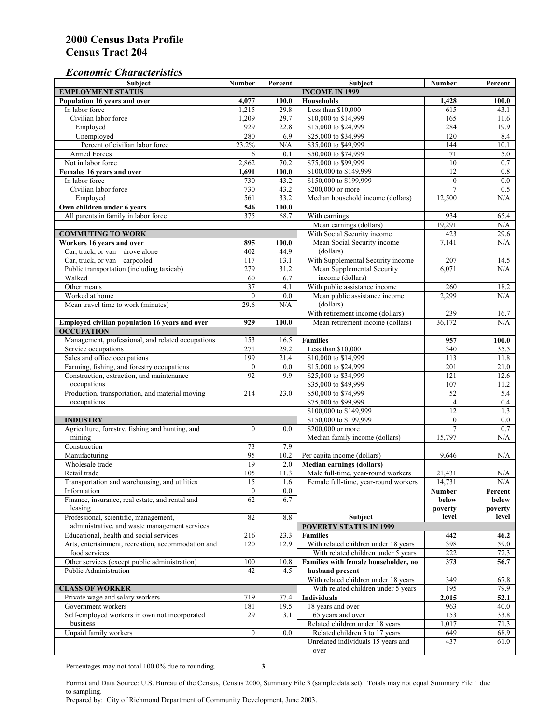# *Economic Characteristics*

| <b>Subject</b>                                     | Number           | Percent | Subject                              | Number          | Percent          |
|----------------------------------------------------|------------------|---------|--------------------------------------|-----------------|------------------|
| <b>EMPLOYMENT STATUS</b>                           |                  |         | <b>INCOME IN 1999</b>                |                 |                  |
| Population 16 years and over                       | 4,077            | 100.0   | Households                           | 1,428           | 100.0            |
| In labor force                                     | 1,215            | 29.8    | Less than \$10,000                   | 615             | 43.1             |
| Civilian labor force                               | 1,209            | 29.7    | \$10,000 to \$14,999                 | 165             | 11.6             |
| Employed                                           | 929              | 22.8    | \$15,000 to \$24,999                 | 284             | 19.9             |
| Unemployed                                         | 280              | 6.9     | \$25,000 to \$34,999                 | 120             | 8.4              |
| Percent of civilian labor force                    | 23.2%            | N/A     | \$35,000 to \$49,999                 | 144             | 10.1             |
| Armed Forces                                       | 6                | 0.1     | \$50,000 to \$74,999                 | 71              | 5.0              |
| Not in labor force                                 | 2,862            | 70.2    | \$75,000 to \$99,999                 | 10              | 0.7              |
| Females 16 years and over                          | 1,691            | 100.0   | \$100,000 to \$149,999               | $\overline{12}$ | $0.8\,$          |
| In labor force                                     | 730              | 43.2    | \$150,000 to \$199,999               | $\overline{0}$  | $\overline{0.0}$ |
| Civilian labor force                               | 730              | 43.2    | \$200,000 or more                    | $\overline{7}$  | 0.5              |
| Employed                                           | 561              | 33.2    | Median household income (dollars)    | 12,500          | N/A              |
| Own children under 6 years                         | 546              | 100.0   |                                      |                 |                  |
| All parents in family in labor force               | 375              | 68.7    | With earnings                        | 934             | 65.4             |
|                                                    |                  |         | Mean earnings (dollars)              | 19,291          | N/A              |
| <b>COMMUTING TO WORK</b>                           |                  |         | With Social Security income          | 423             | 29.6             |
| Workers 16 years and over                          | 895              | 100.0   | Mean Social Security income          | 7,141           | N/A              |
| Car, truck, or van – drove alone                   | 402              | 44.9    | (dollars)                            |                 |                  |
| Car, truck, or van - carpooled                     | 117              | 13.1    | With Supplemental Security income    | 207             | 14.5             |
| Public transportation (including taxicab)          | 279              | 31.2    | Mean Supplemental Security           | 6,071           | N/A              |
| Walked                                             | 60               | 6.7     | income (dollars)                     |                 |                  |
| Other means                                        | $\overline{37}$  | 4.1     | With public assistance income        | 260             | 18.2             |
| Worked at home                                     | $\Omega$         | 0.0     | Mean public assistance income        | 2,299           | N/A              |
| Mean travel time to work (minutes)                 | 29.6             | N/A     | (dollars)                            |                 |                  |
|                                                    |                  |         | With retirement income (dollars)     | 239             | 16.7             |
| Employed civilian population 16 years and over     | 929              | 100.0   | Mean retirement income (dollars)     | 36.172          | N/A              |
| <b>OCCUPATION</b>                                  |                  |         |                                      |                 |                  |
| Management, professional, and related occupations  | 153              | 16.5    | <b>Families</b>                      | 957             | 100.0            |
| Service occupations                                | 271              | 29.2    | Less than \$10,000                   | 340             | 35.5             |
| Sales and office occupations                       | 199              | 21.4    | \$10,000 to \$14,999                 | 113             | 11.8             |
| Farming, fishing, and forestry occupations         | $\boldsymbol{0}$ | 0.0     | \$15,000 to \$24,999                 | 201             | 21.0             |
| Construction, extraction, and maintenance          | 92               | 9.9     | \$25,000 to \$34,999                 | 121             | 12.6             |
| occupations                                        |                  |         | \$35,000 to \$49,999                 | 107             | 11.2             |
| Production, transportation, and material moving    | 214              | 23.0    | \$50,000 to \$74,999                 | 52              | 5.4              |
| occupations                                        |                  |         | \$75,000 to \$99,999                 | $\overline{4}$  | 0.4              |
|                                                    |                  |         | \$100,000 to \$149,999               | 12              | 1.3              |
| <b>INDUSTRY</b>                                    |                  |         | \$150,000 to \$199,999               | $\mathbf{0}$    | 0.0              |
| Agriculture, forestry, fishing and hunting, and    | $\boldsymbol{0}$ | 0.0     | \$200,000 or more                    | $\overline{7}$  | 0.7              |
| mining                                             |                  |         | Median family income (dollars)       | 15,797          | N/A              |
| Construction                                       | 73               | 7.9     |                                      |                 |                  |
| Manufacturing                                      | 95               | 10.2    | Per capita income (dollars)          | 9,646           | N/A              |
| Wholesale trade                                    | 19               | 2.0     | <b>Median earnings (dollars)</b>     |                 |                  |
| Retail trade                                       | 105              | 11.3    | Male full-time, year-round workers   | 21,431          | N/A              |
| Transportation and warehousing, and utilities      | 15               | 1.6     | Female full-time, year-round workers | 14,731          | N/A              |
| Information                                        | $\boldsymbol{0}$ | 0.0     |                                      | Number          | Percent          |
| Finance, insurance, real estate, and rental and    | 62               | 6.7     |                                      | below           | below            |
| leasing                                            |                  |         |                                      | poverty         | poverty          |
| Professional, scientific, management,              | 82               | 8.8     | Subject                              | level           | level            |
| administrative, and waste management services      |                  |         | <b>POVERTY STATUS IN 1999</b>        |                 |                  |
| Educational, health and social services            | 216              | 23.3    | <b>Families</b>                      | 442             | 46.2             |
| Arts, entertainment, recreation, accommodation and | 120              | 12.9    | With related children under 18 years | 398             | 59.0             |
| food services                                      |                  |         | With related children under 5 years  | 222             | 72.3             |
| Other services (except public administration)      | 100              | 10.8    | Families with female householder, no | 373             | 56.7             |
| Public Administration                              | 42               | 4.5     | husband present                      |                 |                  |
|                                                    |                  |         | With related children under 18 years | 349             | 67.8             |
| <b>CLASS OF WORKER</b>                             |                  |         | With related children under 5 years  | 195             | 79.9             |
| Private wage and salary workers                    | 719              | 77.4    | Individuals                          | 2,015           | 52.1             |
| Government workers                                 | 181              | 19.5    | 18 years and over                    | 963             | 40.0             |
| Self-employed workers in own not incorporated      | 29               | 3.1     | 65 years and over                    | 153             | 33.8             |
| business                                           |                  |         | Related children under 18 years      | 1,017           | 71.3             |
| Unpaid family workers                              | $\boldsymbol{0}$ | 0.0     | Related children 5 to 17 years       | 649             | 68.9             |
|                                                    |                  |         | Unrelated individuals 15 years and   | 437             | 61.0             |
|                                                    |                  |         | over                                 |                 |                  |
|                                                    |                  |         |                                      |                 |                  |

Percentages may not total 100.0% due to rounding. **3** 

Format and Data Source: U.S. Bureau of the Census, Census 2000, Summary File 3 (sample data set). Totals may not equal Summary File 1 due to sampling.

Prepared by: City of Richmond Department of Community Development, June 2003.